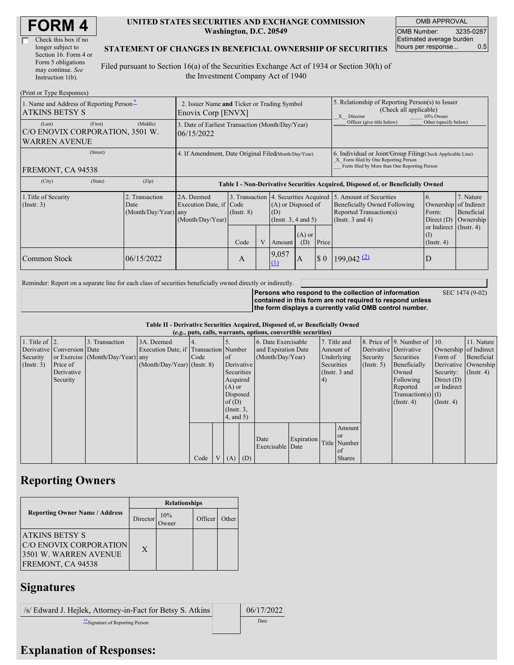| Check this box if no  |
|-----------------------|
| longer subject to     |
| Section 16. Form 4 or |
| Form 5 obligations    |
| may continue. See     |
| Instruction 1(b).     |

#### **UNITED STATES SECURITIES AND EXCHANGE COMMISSION Washington, D.C. 20549**

OMB APPROVAL OMB Number: 3235-0287 Estimated average burden hours per response... 0.5

SEC 1474 (9-02)

#### **STATEMENT OF CHANGES IN BENEFICIAL OWNERSHIP OF SECURITIES**

Filed pursuant to Section 16(a) of the Securities Exchange Act of 1934 or Section 30(h) of the Investment Company Act of 1940

| (Print or Type Responses)                                                    |                                                                   |                                                                                  |                                   |  |                                                                                             |                            |                                                                                                                                                    |                                                                                                             |                                                                                      |                                                     |
|------------------------------------------------------------------------------|-------------------------------------------------------------------|----------------------------------------------------------------------------------|-----------------------------------|--|---------------------------------------------------------------------------------------------|----------------------------|----------------------------------------------------------------------------------------------------------------------------------------------------|-------------------------------------------------------------------------------------------------------------|--------------------------------------------------------------------------------------|-----------------------------------------------------|
| 1. Name and Address of Reporting Person*<br><b>ATKINS BETSY S</b>            | 2. Issuer Name and Ticker or Trading Symbol<br>Enovix Corp [ENVX] |                                                                                  |                                   |  |                                                                                             |                            | 5. Relationship of Reporting Person(s) to Issuer<br>(Check all applicable)<br>X Director<br>10% Owner                                              |                                                                                                             |                                                                                      |                                                     |
| (First)<br>(Last)<br>C/O ENOVIX CORPORATION, 3501 W.<br><b>WARREN AVENUE</b> | (Middle)                                                          | 3. Date of Earliest Transaction (Month/Day/Year)<br>06/15/2022                   |                                   |  |                                                                                             | Officer (give title below) | Other (specify below)                                                                                                                              |                                                                                                             |                                                                                      |                                                     |
| (Street)<br>FREMONT, CA 94538                                                | 4. If Amendment, Date Original Filed(Month/Day/Year)              |                                                                                  |                                   |  |                                                                                             |                            | 6. Individual or Joint/Group Filing Check Applicable Line)<br>X Form filed by One Reporting Person<br>Form filed by More than One Reporting Person |                                                                                                             |                                                                                      |                                                     |
| (State)<br>(City)                                                            | (Zip)                                                             | Table I - Non-Derivative Securities Acquired, Disposed of, or Beneficially Owned |                                   |  |                                                                                             |                            |                                                                                                                                                    |                                                                                                             |                                                                                      |                                                     |
| 1. Title of Security<br>$($ Instr. 3 $)$                                     | 2. Transaction<br>Date<br>(Month/Day/Year) any                    | 2A. Deemed<br>Execution Date, if Code<br>(Month/Day/Year)                        | 3. Transaction<br>$($ Instr. $8)$ |  | 4. Securities Acquired<br>(A) or Disposed of<br>(D)<br>(Instr. $3, 4$ and $5$ )<br>$(A)$ or |                            |                                                                                                                                                    | 5. Amount of Securities<br>Beneficially Owned Following<br>Reported Transaction(s)<br>(Instr. $3$ and $4$ ) | 6.<br>Ownership<br>Form:<br>Direct $(D)$<br>or Indirect $($ Instr. 4 $)$<br>$\rm(I)$ | 7. Nature<br>of Indirect<br>Beneficial<br>Ownership |
|                                                                              |                                                                   |                                                                                  | Code                              |  | Amount                                                                                      | (D)                        | Price                                                                                                                                              |                                                                                                             | $($ Instr. 4 $)$                                                                     |                                                     |
| Common Stock                                                                 | 06/15/2022                                                        |                                                                                  | A                                 |  | 9,057<br>(1)                                                                                | $\mathbf{A}$               | $\boldsymbol{\mathsf{S}}$ 0                                                                                                                        | $199,042 \frac{2}{2}$                                                                                       | D                                                                                    |                                                     |

Reminder: Report on a separate line for each class of securities beneficially owned directly or indirectly.

**Persons who respond to the collection of information contained in this form are not required to respond unless the form displays a currently valid OMB control number.**

**Table II - Derivative Securities Acquired, Disposed of, or Beneficially Owned**

|                        | (e.g., puts, calls, warrants, options, convertible securities) |                                  |                                       |      |                |                 |     |                          |            |            |               |                       |                          |                       |                      |
|------------------------|----------------------------------------------------------------|----------------------------------|---------------------------------------|------|----------------|-----------------|-----|--------------------------|------------|------------|---------------|-----------------------|--------------------------|-----------------------|----------------------|
| 1. Title of $\vert$ 2. |                                                                | 3. Transaction                   | 3A. Deemed                            |      |                |                 |     | 6. Date Exercisable      |            |            | 7. Title and  |                       | 8. Price of 9. Number of | $\vert$ 10.           | 11. Nature           |
|                        | Derivative Conversion Date                                     |                                  | Execution Date, if Transaction Number |      |                |                 |     | and Expiration Date      |            |            | Amount of     | Derivative Derivative |                          | Ownership of Indirect |                      |
| Security               |                                                                | or Exercise (Month/Day/Year) any |                                       | Code |                | <sub>of</sub>   |     | (Month/Day/Year)         |            |            | Underlying    | Security              | Securities               | Form of               | Beneficial           |
| $($ Instr. 3 $)$       | Price of                                                       |                                  | $(Month/Day/Year)$ (Instr. 8)         |      |                | Derivative      |     |                          |            | Securities |               | $($ Instr. 5)         | Beneficially             |                       | Derivative Ownership |
|                        | Derivative                                                     |                                  |                                       |      |                | Securities      |     |                          |            |            | (Instr. 3 and |                       | Owned                    | Security:             | $($ Instr. 4 $)$     |
|                        | Security                                                       |                                  |                                       |      |                | Acquired        |     |                          |            | 4)         |               |                       | Following                | Direct $(D)$          |                      |
|                        |                                                                |                                  |                                       |      |                | $(A)$ or        |     |                          |            |            |               |                       | Reported                 | or Indirect           |                      |
|                        |                                                                |                                  |                                       |      |                | Disposed        |     |                          |            |            |               |                       | Transaction(s) $(I)$     |                       |                      |
|                        |                                                                |                                  |                                       |      |                | of(D)           |     |                          |            |            |               |                       | $($ Instr. 4 $)$         | $($ Instr. 4 $)$      |                      |
|                        |                                                                |                                  |                                       |      |                | $($ Instr. $3,$ |     |                          |            |            |               |                       |                          |                       |                      |
|                        |                                                                |                                  |                                       |      |                | $4$ , and $5$ ) |     |                          |            |            |               |                       |                          |                       |                      |
|                        |                                                                |                                  |                                       |      |                |                 |     |                          |            |            | Amount        |                       |                          |                       |                      |
|                        |                                                                |                                  |                                       |      |                |                 |     |                          |            |            | <sub>or</sub> |                       |                          |                       |                      |
|                        |                                                                |                                  |                                       |      |                |                 |     | Date<br>Exercisable Date | Expiration |            | Title Number  |                       |                          |                       |                      |
|                        |                                                                |                                  |                                       |      |                |                 |     |                          |            |            | of            |                       |                          |                       |                      |
|                        |                                                                |                                  |                                       | Code | V <sub>1</sub> | (A)             | (D) |                          |            |            | <b>Shares</b> |                       |                          |                       |                      |

## **Reporting Owners**

|                                                                                                | <b>Relationships</b> |              |         |       |  |  |  |  |
|------------------------------------------------------------------------------------------------|----------------------|--------------|---------|-------|--|--|--|--|
| <b>Reporting Owner Name / Address</b>                                                          | Director             | 10%<br>)wner | Officer | Other |  |  |  |  |
| <b>ATKINS BETSY S</b><br>IC/O ENOVIX CORPORATION<br>3501 W. WARREN AVENUE<br>FREMONT, CA 94538 | $\mathbf{X}$         |              |         |       |  |  |  |  |

### **Signatures**

/s/ Edward J. Hejlek, Attorney-in-Fact for Betsy S. Atkins 06/17/2022 \*\*Signature of Reporting Person Date

# **Explanation of Responses:**